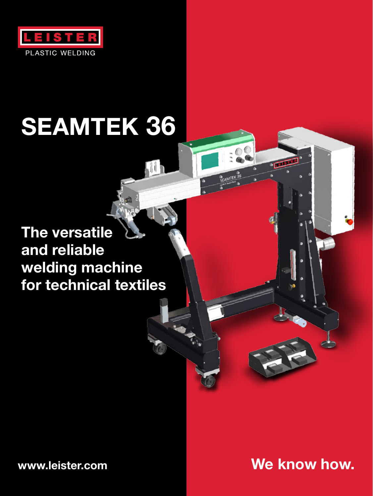

# SEAMTEK 36

The versatile and reliable welding machine for technical textiles

www.leister.com We know how.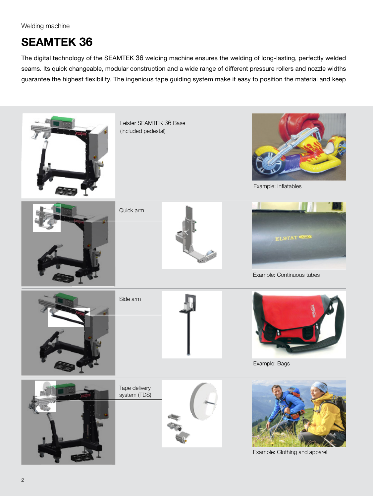### Welding machine

# SEAMTEK 36

The digital technology of the SEAMTEK 36 welding machine ensures the welding of long-lasting, perfectly welded seams. Its quick changeable, modular construction and a wide range of different pressure rollers and nozzle widths guarantee the highest flexibility. The ingenious tape guiding system make it easy to position the material and keep

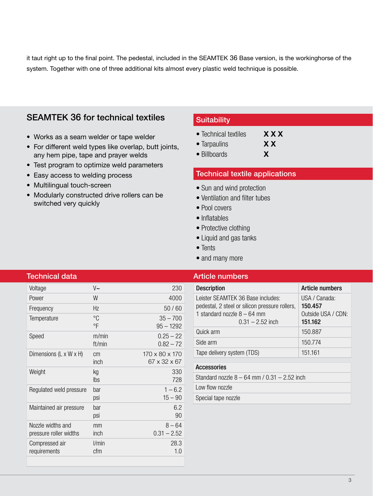it taut right up to the final point. The pedestal, included in the SEAMTEK 36 Base version, is the workinghorse of the system. Together with one of three additional kits almost every plastic weld technique is possible.

# SEAMTEK 36 for technical textiles

- Works as a seam welder or tape welder
- For different weld types like overlap, butt joints, any hem pipe, tape and prayer welds
- Test program to optimize weld parameters
- Easy access to welding process
- Multilingual touch-screen
- Modularly constructed drive rollers can be switched very quickly

# **Suitability**

- Technical textiles X X X
- Tarpaulins **X X**
- Billboards **X**

# Technical textile applications

- Sun and wind protection
- Ventilation and filter tubes
- Pool covers
- Inflatables
- Protective clothing
- Liquid and gas tanks
- Tents
- and many more

| <b>Technical data</b>                       |              |                           | <b>Article no</b>  |  |
|---------------------------------------------|--------------|---------------------------|--------------------|--|
| Voltage                                     | $V -$        | 230                       | <b>Description</b> |  |
| Power                                       | W            | 4000                      | Leister SEA        |  |
| Frequency                                   | Hz           | 50/60                     | pedestal, 2        |  |
| Temperature                                 | °C<br>°F     | $35 - 700$<br>$95 - 1292$ | 1 standard         |  |
| Speed                                       | m/min        | $0.25 - 22$               | Quick arm          |  |
|                                             | ft/min       | $0.82 - 72$               | Side arm           |  |
| Dimensions (L x W x H)                      | cm           | 170 x 80 x 170            | Tape deliver       |  |
|                                             | inch         | 67 x 32 x 67              | Accessorie         |  |
| Weight                                      | kg<br>lbs    | 330<br>728                | Standard no        |  |
| Regulated weld pressure                     | bar          | $1 - 6.2$                 | Low flow no        |  |
|                                             | psi          | $15 - 90$                 | Special tape       |  |
| Maintained air pressure                     | bar<br>psi   | 6.2<br>90                 |                    |  |
| Nozzle widths and<br>pressure roller widths | mm<br>inch   | $8 - 64$<br>$0.31 - 2.52$ |                    |  |
| Compressed air<br>requirements              | l/min<br>cfm | 28.3<br>1.0               |                    |  |
|                                             |              |                           |                    |  |

## umbers

| <b>Description</b>                                                                                                                         | <b>Article numbers</b>                                    |
|--------------------------------------------------------------------------------------------------------------------------------------------|-----------------------------------------------------------|
| Leister SEAMTEK 36 Base includes:<br>pedestal, 2 steel or silicon pressure rollers,<br>1 standard nozzle $8 - 64$ mm<br>$0.31 - 2.52$ inch | USA / Canada:<br>150.457<br>Outside USA / CDN:<br>151.162 |
| Quick arm                                                                                                                                  | 150.887                                                   |
| Side arm                                                                                                                                   | 150.774                                                   |
| Tape delivery system (TDS)                                                                                                                 | 151.161                                                   |

#### Accessories

| Standard nozzle $8-64$ mm / 0.31 $-$ 2.52 inch |  |
|------------------------------------------------|--|
| Low flow nozzle                                |  |

e nozzle